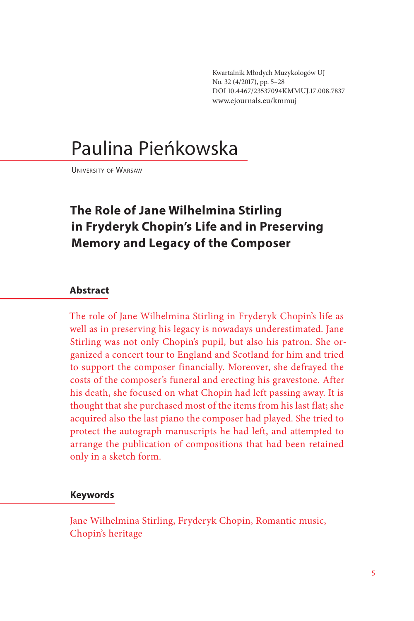Kwartalnik Młodych Muzykologów UJ No. 32 (4/2017), pp. 5–28 DOI 10.4467/23537094KMMUJ.17.008.7837 www.ejournals.eu/kmmuj

# Paulina Pieńkowska

University of Warsaw

## **The Role of Jane Wilhelmina Stirling in Fryderyk Chopin's Life and in Preserving Memory and Legacy of the Composer**

### **Abstract**

The role of Jane Wilhelmina Stirling in Fryderyk Chopin's life as well as in preserving his legacy is nowadays underestimated. Jane Stirling was not only Chopin's pupil, but also his patron. She organized a concert tour to England and Scotland for him and tried to support the composer financially. Moreover, she defrayed the costs of the composer's funeral and erecting his gravestone. After his death, she focused on what Chopin had left passing away. It is thought that she purchased most of the items from his last flat; she acquired also the last piano the composer had played. She tried to protect the autograph manuscripts he had left, and attempted to arrange the publication of compositions that had been retained only in a sketch form.

### **Keywords**

Jane Wilhelmina Stirling, Fryderyk Chopin, Romantic music, Chopin's heritage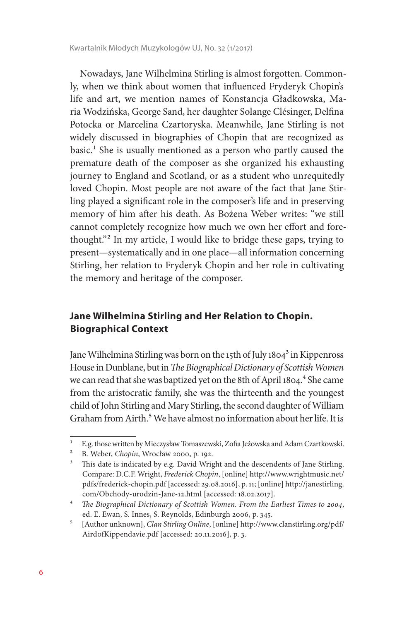Nowadays, Jane Wilhelmina Stirling is almost forgotten. Commonly, when we think about women that influenced Fryderyk Chopin's life and art, we mention names of Konstancja Gładkowska, Maria Wodzińska, George Sand, her daughter Solange Clésinger, Delfina Potocka or Marcelina Czartoryska. Meanwhile, Jane Stirling is not widely discussed in biographies of Chopin that are recognized as basic.<sup>1</sup> She is usually mentioned as a person who partly caused the premature death of the composer as she organized his exhausting journey to England and Scotland, or as a student who unrequitedly loved Chopin. Most people are not aware of the fact that Jane Stirling played a significant role in the composer's life and in preserving memory of him after his death. As Bożena Weber writes: "we still cannot completely recognize how much we own her effort and forethought."2 In my article, I would like to bridge these gaps, trying to present—systematically and in one place—all information concerning Stirling, her relation to Fryderyk Chopin and her role in cultivating the memory and heritage of the composer.

### **Jane Wilhelmina Stirling and Her Relation to Chopin. Biographical Context**

Jane Wilhelmina Stirling was born on the 15th of July 1804<sup>3</sup> in Kippenross House in Dunblane, but in *The Biographical Dictionary of Scottish Women*  we can read that she was baptized yet on the 8th of April 1804.<sup>4</sup> She came from the aristocratic family, she was the thirteenth and the youngest child of John Stirling and Mary Stirling, the second daughter of William Graham from Airth.<sup>5</sup> We have almost no information about her life. It is

<sup>1</sup> E.g. those written by Mieczysław Tomaszewski, Zofia Jeżowska and Adam Czartkowski.

<sup>2</sup> B. Weber, *Chopin*, Wrocław 2000, p. 192.

<sup>&</sup>lt;sup>3</sup> This date is indicated by e.g. David Wright and the descendents of Jane Stirling. Compare: D.C.F. Wright, *Frederick Chopin*, [online] http://www.wrightmusic.net/ pdfs/frederick-chopin.pdf [accessed: 29.08.2016], p. 11; [online] http://janestirling. com/Obchody-urodzin-Jane-12.html [accessed: 18.02.2017].

<sup>4</sup> *The Biographical Dictionary of Scottish Women. From the Earliest Times to 2004*, ed. E. Ewan, S. Innes, S. Reynolds, Edinburgh 2006, p. 345.

<sup>5</sup> [Author unknown], *Clan Stirling Online*, [online] http://www.clanstirling.org/pdf/ Aird0fKippendavie.pdf [accessed: 20.11.2016], p. 3.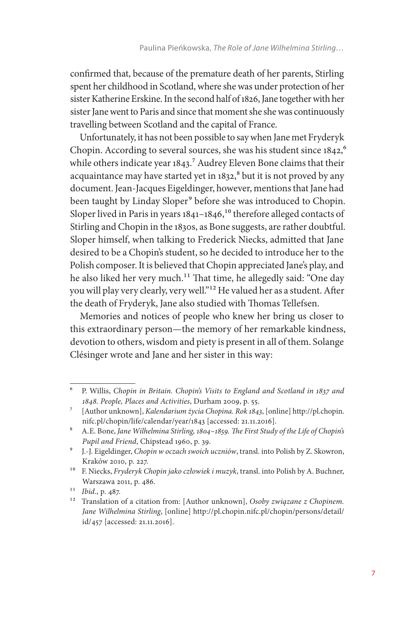confirmed that, because of the premature death of her parents, Stirling spent her childhood in Scotland, where she was under protection of her sister Katherine Erskine. In the second half of 1826, Jane together with her sister Jane went to Paris and since that moment she she was continuously travelling between Scotland and the capital of France.

Unfortunately, it has not been possible to say when Jane met Fryderyk Chopin. According to several sources, she was his student since 1842,<sup>6</sup> while others indicate year 1843.<sup>7</sup> Audrey Eleven Bone claims that their acquaintance may have started yet in 1832,<sup>8</sup> but it is not proved by any document. Jean-Jacques Eigeldinger, however, mentions that Jane had been taught by Linday Sloper<sup>9</sup> before she was introduced to Chopin. Sloper lived in Paris in years  $1841-1846$ ,<sup>10</sup> therefore alleged contacts of Stirling and Chopin in the 1830s, as Bone suggests, are rather doubtful. Sloper himself, when talking to Frederick Niecks, admitted that Jane desired to be a Chopin's student, so he decided to introduce her to the Polish composer. It is believed that Chopin appreciated Jane's play, and he also liked her very much.<sup>11</sup> That time, he allegedly said: "One day you will play very clearly, very well."12 He valued her as a student. After the death of Fryderyk, Jane also studied with Thomas Tellefsen.

Memories and notices of people who knew her bring us closer to this extraordinary person—the memory of her remarkable kindness, devotion to others, wisdom and piety is present in all of them. Solange Clésinger wrote and Jane and her sister in this way:

<sup>6</sup> P. Willis, *Chopin in Britain. Chopin's Visits to England and Scotland in 1837 and 1848. People, Places and Activities*, Durham 2009, p. 55.

<sup>7</sup> [Author unknown], *Kalendarium życia Chopina. Rok 1843*, [online] http://pl.chopin. nifc.pl/chopin/life/calendar/year/1843 [accessed: 21.11.2016].

<sup>8</sup> A.E. Bone, *Jane Wilhelmina Stirling, 1804*–*1859. The First Study of the Life of Chopin's Pupil and Friend*, Chipstead 1960, p. 39.

<sup>9</sup> J.-J. Eigeldinger, *Chopin w oczach swoich uczniów*, transl. into Polish by Z. Skowron, Kraków 2010, p. 227.

<sup>10</sup> F. Niecks, *Fryderyk Chopin jako człowiek i muzyk*, transl. into Polish by A. Buchner, Warszawa 2011, p. 486.

<sup>11</sup> *Ibid*., p. 487.

<sup>12</sup> Translation of a citation from: [Author unknown], *Osoby związane z Chopinem. Jane Wilhelmina Stirling*, [online] http://pl.chopin.nifc.pl/chopin/persons/detail/ id/457 [accessed: 21.11.2016].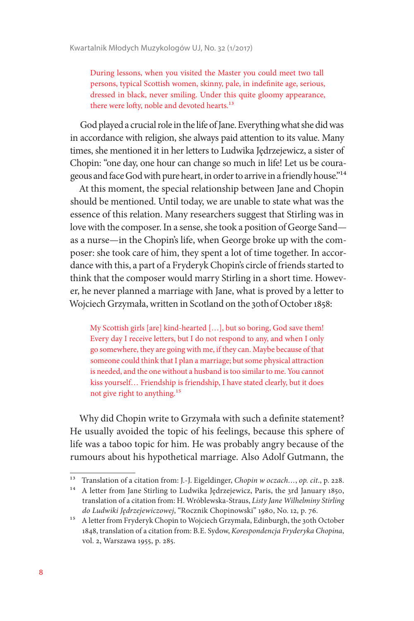During lessons, when you visited the Master you could meet two tall persons, typical Scottish women, skinny, pale, in indefinite age, serious, dressed in black, never smiling. Under this quite gloomy appearance, there were lofty, noble and devoted hearts.<sup>13</sup>

God played a crucial role in the life of Jane. Everything what she did was in accordance with religion, she always paid attention to its value. Many times, she mentioned it in her letters to Ludwika Jędrzejewicz, a sister of Chopin: "one day, one hour can change so much in life! Let us be courageous and face God with pure heart, in order to arrive in a friendly house."14

At this moment, the special relationship between Jane and Chopin should be mentioned. Until today, we are unable to state what was the essence of this relation. Many researchers suggest that Stirling was in love with the composer. In a sense, she took a position of George Sand as a nurse—in the Chopin's life, when George broke up with the composer: she took care of him, they spent a lot of time together. In accordance with this, a part of a Fryderyk Chopin's circle of friends started to think that the composer would marry Stirling in a short time. However, he never planned a marriage with Jane, what is proved by a letter to Wojciech Grzymała, written in Scotland on the 30thof October 1858:

My Scottish girls [are] kind-hearted […], but so boring, God save them! Every day I receive letters, but I do not respond to any, and when I only go somewhere, they are going with me, if they can. Maybe because of that someone could think that I plan a marriage; but some physical attraction is needed, and the one without a husband is too similar to me. You cannot kiss yourself… Friendship is friendship, I have stated clearly, but it does not give right to anything.15

Why did Chopin write to Grzymała with such a definite statement? He usually avoided the topic of his feelings, because this sphere of life was a taboo topic for him. He was probably angry because of the rumours about his hypothetical marriage. Also Adolf Gutmann, the

<sup>13</sup> Translation of a citation from: J.-J. Eigeldinger, *Chopin w oczach…*, *op. cit*., p. 228.

<sup>&</sup>lt;sup>14</sup> A letter from Jane Stirling to Ludwika Jędrzejewicz, Paris, the 3rd January 1850, translation of a citation from: H. Wróblewska-Straus, *Listy Jane Wilhelminy Stirling do Ludwiki Jędrzejewiczowej*, "Rocznik Chopinowski" 1980, No. 12, p. 76.

<sup>&</sup>lt;sup>15</sup> A letter from Fryderyk Chopin to Wojciech Grzymała, Edinburgh, the 30th October 1848, translation of a citation from: B.E. Sydow, *Korespondencja Fryderyka Chopina*, vol. 2, Warszawa 1955, p. 285.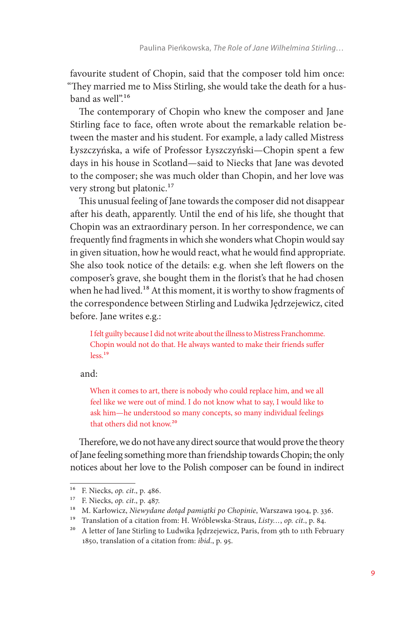favourite student of Chopin, said that the composer told him once: "They married me to Miss Stirling, she would take the death for a husband as well".16

The contemporary of Chopin who knew the composer and Jane Stirling face to face, often wrote about the remarkable relation between the master and his student. For example, a lady called Mistress Łyszczyńska, a wife of Professor Łyszczyński—Chopin spent a few days in his house in Scotland—said to Niecks that Jane was devoted to the composer; she was much older than Chopin, and her love was very strong but platonic.<sup>17</sup>

This unusual feeling of Jane towards the composer did not disappear after his death, apparently. Until the end of his life, she thought that Chopin was an extraordinary person. In her correspondence, we can frequently find fragments in which she wonders what Chopin would say in given situation, how he would react, what he would find appropriate. She also took notice of the details: e.g. when she left flowers on the composer's grave, she bought them in the florist's that he had chosen when he had lived.<sup>18</sup> At this moment, it is worthy to show fragments of the correspondence between Stirling and Ludwika Jędrzejewicz, cited before. Jane writes e.g.:

I felt guilty because I did not write about the illness to Mistress Franchomme. Chopin would not do that. He always wanted to make their friends suffer less.19

and:

When it comes to art, there is nobody who could replace him, and we all feel like we were out of mind. I do not know what to say, I would like to ask him—he understood so many concepts, so many individual feelings that others did not know.20

Therefore, we do not have any direct source that would prove the theory of Jane feeling something more than friendship towards Chopin; the only notices about her love to the Polish composer can be found in indirect

<sup>16</sup> F. Niecks, *op. cit*., p. 486.

<sup>17</sup> F. Niecks, *op. cit*., p. 487.

<sup>18</sup> M. Karłowicz, *Niewydane dotąd pamiątki po Chopinie*, Warszawa 1904, p. 336.

<sup>19</sup> Translation of a citation from: H. Wróblewska-Straus, *Listy…*, *op. cit*., p. 84.

<sup>&</sup>lt;sup>20</sup> A letter of Jane Stirling to Ludwika Jędrzejewicz, Paris, from 9th to 11th February 1850, translation of a citation from: *ibid*., p. 95.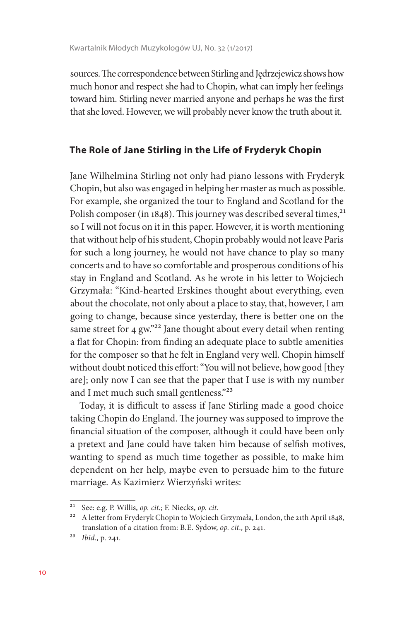sources. The correspondence between Stirling and Jędrzejewicz shows how much honor and respect she had to Chopin, what can imply her feelings toward him. Stirling never married anyone and perhaps he was the first that she loved. However, we will probably never know the truth about it.

### **The Role of Jane Stirling in the Life of Fryderyk Chopin**

Jane Wilhelmina Stirling not only had piano lessons with Fryderyk Chopin, but also was engaged in helping her master as much as possible. For example, she organized the tour to England and Scotland for the Polish composer (in 1848). This journey was described several times,<sup>21</sup> so I will not focus on it in this paper. However, it is worth mentioning that without help of his student, Chopin probably would not leave Paris for such a long journey, he would not have chance to play so many concerts and to have so comfortable and prosperous conditions of his stay in England and Scotland. As he wrote in his letter to Wojciech Grzymała: "Kind-hearted Erskines thought about everything, even about the chocolate, not only about a place to stay, that, however, I am going to change, because since yesterday, there is better one on the same street for 4 gw."<sup>22</sup> Jane thought about every detail when renting a flat for Chopin: from finding an adequate place to subtle amenities for the composer so that he felt in England very well. Chopin himself without doubt noticed this effort: "You will not believe, how good [they are]; only now I can see that the paper that I use is with my number and I met much such small gentleness."23

Today, it is difficult to assess if Jane Stirling made a good choice taking Chopin do England. The journey was supposed to improve the financial situation of the composer, although it could have been only a pretext and Jane could have taken him because of selfish motives, wanting to spend as much time together as possible, to make him dependent on her help, maybe even to persuade him to the future marriage. As Kazimierz Wierzyński writes:

<sup>21</sup> See: e.g. P. Willis, *op. cit.*; F. Niecks, *op. cit.*

<sup>&</sup>lt;sup>22</sup> A letter from Fryderyk Chopin to Wojciech Grzymała, London, the 21th April 1848, translation of a citation from: B.E. Sydow, *op. cit*., p. 241.

<sup>23</sup> *Ibid*., p. 241.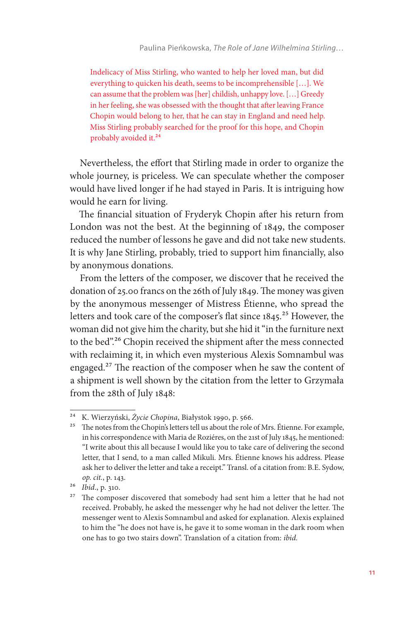Indelicacy of Miss Stirling, who wanted to help her loved man, but did everything to quicken his death, seems to be incomprehensible […]. We can assume that the problem was [her] childish, unhappy love. […] Greedy in her feeling, she was obsessed with the thought that after leaving France Chopin would belong to her, that he can stay in England and need help. Miss Stirling probably searched for the proof for this hope, and Chopin probably avoided it.<sup>24</sup>

Nevertheless, the effort that Stirling made in order to organize the whole journey, is priceless. We can speculate whether the composer would have lived longer if he had stayed in Paris. It is intriguing how would he earn for living.

The financial situation of Fryderyk Chopin after his return from London was not the best. At the beginning of 1849, the composer reduced the number of lessons he gave and did not take new students. It is why Jane Stirling, probably, tried to support him financially, also by anonymous donations.

From the letters of the composer, we discover that he received the donation of 25.00 francs on the 26th of July 1849. The money was given by the anonymous messenger of Mistress Étienne, who spread the letters and took care of the composer's flat since 1845.<sup>25</sup> However, the woman did not give him the charity, but she hid it "in the furniture next to the bed".<sup>26</sup> Chopin received the shipment after the mess connected with reclaiming it, in which even mysterious Alexis Somnambul was engaged.27 The reaction of the composer when he saw the content of a shipment is well shown by the citation from the letter to Grzymała from the 28th of July 1848:

<sup>24</sup> K. Wierzyński, *Życie Chopina*, Białystok 1990, p. 566.

<sup>&</sup>lt;sup>25</sup> The notes from the Chopin's letters tell us about the role of Mrs. Étienne. For example, in his correspondence with Maria de Roziéres, on the 21st of July 1845, he mentioned: "I write about this all because I would like you to take care of delivering the second letter, that I send, to a man called Mikuli. Mrs. Étienne knows his address. Please ask her to deliver the letter and take a receipt." Transl. of a citation from: B.E. Sydow, *op. cit.*, p. 143.

<sup>26</sup> *Ibid*., p. 310.

<sup>&</sup>lt;sup>27</sup> The composer discovered that somebody had sent him a letter that he had not received. Probably, he asked the messenger why he had not deliver the letter. The messenger went to Alexis Somnambul and asked for explanation. Alexis explained to him the "he does not have is, he gave it to some woman in the dark room when one has to go two stairs down". Translation of a citation from: *ibid.*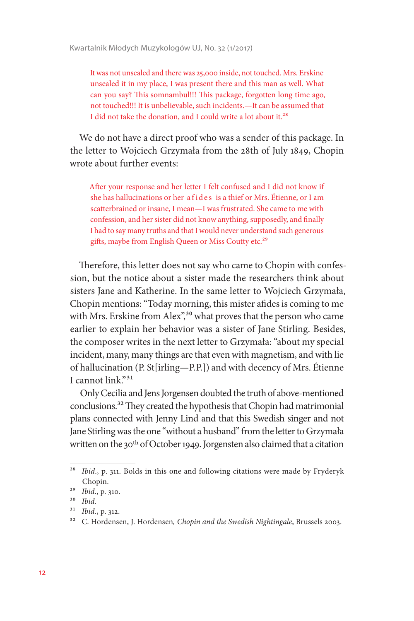It was not unsealed and there was 25,000 inside, not touched. Mrs. Erskine unsealed it in my place, I was present there and this man as well. What can you say? This somnambul!!! This package, forgotten long time ago, not touched!!! It is unbelievable, such incidents.—It can be assumed that I did not take the donation, and I could write a lot about it.28

We do not have a direct proof who was a sender of this package. In the letter to Wojciech Grzymała from the 28th of July 1849, Chopin wrote about further events:

After your response and her letter I felt confused and I did not know if she has hallucinations or her a fides is a thief or Mrs. Étienne, or I am scatterbrained or insane, I mean—I was frustrated. She came to me with confession, and her sister did not know anything, supposedly, and finally I had to say many truths and that I would never understand such generous gifts, maybe from English Queen or Miss Coutty etc.<sup>29</sup>

Therefore, this letter does not say who came to Chopin with confession, but the notice about a sister made the researchers think about sisters Jane and Katherine. In the same letter to Wojciech Grzymała, Chopin mentions: "Today morning, this mister afides is coming to me with Mrs. Erskine from Alex<sup>"30</sup> what proves that the person who came earlier to explain her behavior was a sister of Jane Stirling. Besides, the composer writes in the next letter to Grzymała: "about my special incident, many, many things are that even with magnetism, and with lie of hallucination (P. St[irling—P.P.]) and with decency of Mrs. Étienne I cannot link."31

Only Cecilia and Jens Jorgensen doubted the truth of above-mentioned conclusions.32 They created the hypothesis that Chopin had matrimonial plans connected with Jenny Lind and that this Swedish singer and not Jane Stirling was the one "without a husband" from the letter to Grzymała written on the 30<sup>th</sup> of October 1949. Jorgensten also claimed that a citation

<sup>&</sup>lt;sup>28</sup> *Ibid.*, p. 311. Bolds in this one and following citations were made by Fryderyk Chopin.

<sup>29</sup> *Ibid*., p. 310.

<sup>30</sup> *Ibid.*

<sup>31</sup> *Ibid.*, p. 312.

<sup>32</sup> C. Hordensen, J. Hordensen*, Chopin and the Swedish Nightingale*, Brussels 2003.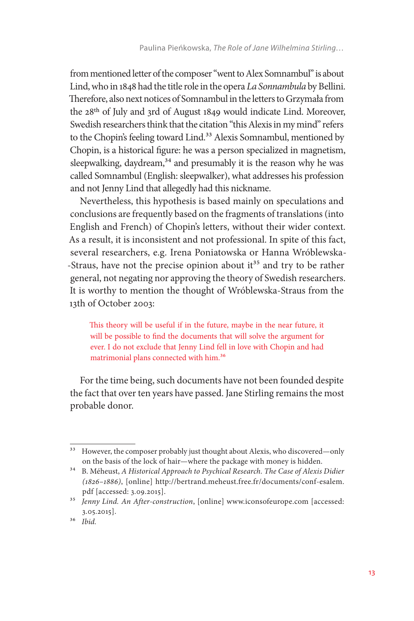from mentioned letter of the composer "went to Alex Somnambul" is about Lind, who in 1848 had the title role in the opera *La Sonnambula* by Bellini. Therefore, also next notices of Somnambul in the letters to Grzymała from the 28th of July and 3rd of August 1849 would indicate Lind. Moreover, Swedish researchers think that the citation "this Alexis in my mind" refers to the Chopin's feeling toward Lind.<sup>33</sup> Alexis Somnambul, mentioned by Chopin, is a historical figure: he was a person specialized in magnetism, sleepwalking, daydream,<sup>34</sup> and presumably it is the reason why he was called Somnambul (English: sleepwalker), what addresses his profession and not Jenny Lind that allegedly had this nickname.

Nevertheless, this hypothesis is based mainly on speculations and conclusions are frequently based on the fragments of translations (into English and French) of Chopin's letters, without their wider context. As a result, it is inconsistent and not professional. In spite of this fact, several researchers, e.g. Irena Poniatowska or Hanna Wróblewska- -Straus, have not the precise opinion about it<sup>35</sup> and try to be rather general, not negating nor approving the theory of Swedish researchers. It is worthy to mention the thought of Wróblewska-Straus from the 13th of October 2003:

This theory will be useful if in the future, maybe in the near future, it will be possible to find the documents that will solve the argument for ever. I do not exclude that Jenny Lind fell in love with Chopin and had matrimonial plans connected with him.36

For the time being, such documents have not been founded despite the fact that over ten years have passed. Jane Stirling remains the most probable donor.

<sup>&</sup>lt;sup>33</sup> However, the composer probably just thought about Alexis, who discovered—only on the basis of the lock of hair—where the package with money is hidden.

<sup>34</sup> B. Méheust, *A Historical Approach to Psychical Research. The Case of Alexis Didier (1826–1886)*, [online] http://bertrand.meheust.free.fr/documents/conf-esalem. pdf [accessed: 3.09.2015].

<sup>35</sup> *Jenny Lind. An After-construction*, [online] www.iconsofeurope.com [accessed: 3.05.2015].

<sup>36</sup> *Ibid.*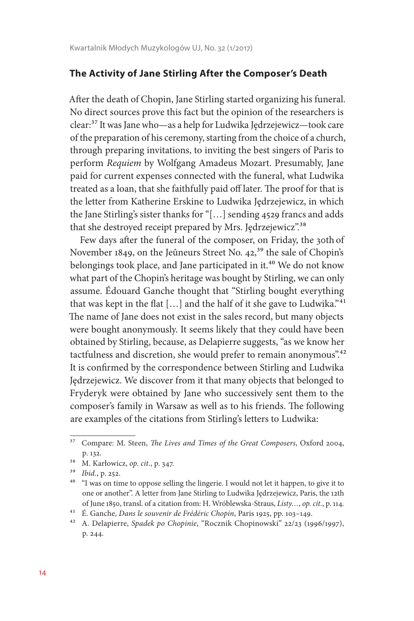#### **The Activity of Jane Stirling After the Composer's Death**

After the death of Chopin, Jane Stirling started organizing his funeral. No direct sources prove this fact but the opinion of the researchers is clear:37 It was Jane who—as a help for Ludwika Jędrzejewicz—took care of the preparation of his ceremony, starting from the choice of a church, through preparing invitations, to inviting the best singers of Paris to perform *Requiem* by Wolfgang Amadeus Mozart. Presumably, Jane paid for current expenses connected with the funeral, what Ludwika treated as a loan, that she faithfully paid off later. The proof for that is the letter from Katherine Erskine to Ludwika Jędrzejewicz, in which the Jane Stirling's sister thanks for "[…] sending 4529 francs and adds that she destroyed receipt prepared by Mrs. Jędrzejewicz".38

Few days after the funeral of the composer, on Friday, the 30th of November 1849, on the Jeûneurs Street No. 42,<sup>39</sup> the sale of Chopin's belongings took place, and Jane participated in it.<sup>40</sup> We do not know what part of the Chopin's heritage was bought by Stirling, we can only assume. Édouard Ganche thought that "Stirling bought everything that was kept in the flat [...] and the half of it she gave to Ludwika."<sup>41</sup> The name of Jane does not exist in the sales record, but many objects were bought anonymously. It seems likely that they could have been obtained by Stirling, because, as Delapierre suggests, "as we know her tactfulness and discretion, she would prefer to remain anonymous".<sup>42</sup> It is confirmed by the correspondence between Stirling and Ludwika Jędrzejewicz. We discover from it that many objects that belonged to Fryderyk were obtained by Jane who successively sent them to the composer's family in Warsaw as well as to his friends. The following are examples of the citations from Stirling's letters to Ludwika:

<sup>37</sup> Compare: M. Steen, *The Lives and Times of the Great Composers*, Oxford 2004, p. 132.

<sup>38</sup> M. Karłowicz, *op. cit*., p. 347.

<sup>39</sup> *Ibid.*, p. 252.

<sup>&</sup>lt;sup>40</sup> "I was on time to oppose selling the lingerie. I would not let it happen, to give it to one or another". A letter from Jane Stirling to Ludwika Jędrzejewicz, Paris, the 12th of June 1850, transl. of a citation from: H. Wróblewska-Straus, *Listy…*, *op. cit*., p. 114.

<sup>41</sup> É. Ganche, *Dans le souvenir de Frédéric Chopin*, Paris 1925, pp. 103–149.

<sup>42</sup> A. Delapierre, *Spadek po Chopinie*, "Rocznik Chopinowski" 22/23 (1996/1997), p. 244.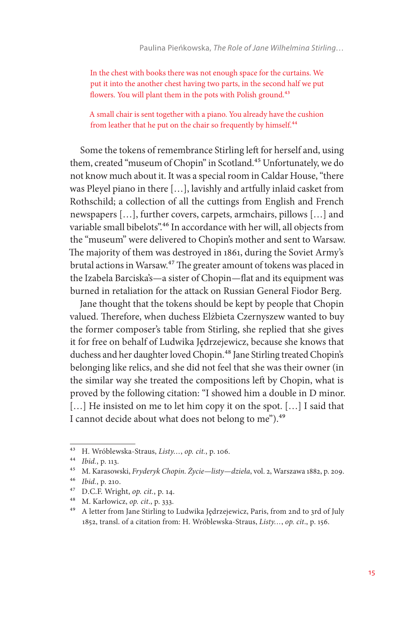In the chest with books there was not enough space for the curtains. We put it into the another chest having two parts, in the second half we put flowers. You will plant them in the pots with Polish ground.<sup>43</sup>

A small chair is sent together with a piano. You already have the cushion from leather that he put on the chair so frequently by himself.<sup>44</sup>

Some the tokens of remembrance Stirling left for herself and, using them, created "museum of Chopin" in Scotland.<sup>45</sup> Unfortunately, we do not know much about it. It was a special room in Caldar House, "there was Pleyel piano in there […], lavishly and artfully inlaid casket from Rothschild; a collection of all the cuttings from English and French newspapers […], further covers, carpets, armchairs, pillows […] and variable small bibelots".<sup>46</sup> In accordance with her will, all objects from the "museum" were delivered to Chopin's mother and sent to Warsaw. The majority of them was destroyed in 1861, during the Soviet Army's brutal actions in Warsaw.47 The greater amount of tokens was placed in the Izabela Barciska's—a sister of Chopin—flat and its equipment was burned in retaliation for the attack on Russian General Fiodor Berg.

Jane thought that the tokens should be kept by people that Chopin valued. Therefore, when duchess Elżbieta Czernyszew wanted to buy the former composer's table from Stirling, she replied that she gives it for free on behalf of Ludwika Jędrzejewicz, because she knows that duchess and her daughter loved Chopin.<sup>48</sup> Jane Stirling treated Chopin's belonging like relics, and she did not feel that she was their owner (in the similar way she treated the compositions left by Chopin, what is proved by the following citation: "I showed him a double in D minor. [...] He insisted on me to let him copy it on the spot. [...] I said that I cannot decide about what does not belong to me").<sup>49</sup>

<sup>43</sup> H. Wróblewska-Straus, *Listy…*, *op. cit.*, p. 106.

<sup>44</sup> *Ibid.*, p. 113.

<sup>45</sup> M. Karasowski, *Fryderyk Chopin. Życie—listy—dzieła*, vol. 2, Warszawa 1882, p. 209.

<sup>46</sup> *Ibid.*, p. 210.

<sup>47</sup> D.C.F. Wright, *op. cit.*, p. 14.

<sup>48</sup> M. Karłowicz, *op. cit*., p. 333.

<sup>49</sup> A letter from Jane Stirling to Ludwika Jędrzejewicz, Paris, from 2nd to 3rd of July 1852, transl. of a citation from: H. Wróblewska-Straus, *Listy…*, *op. cit*., p. 156.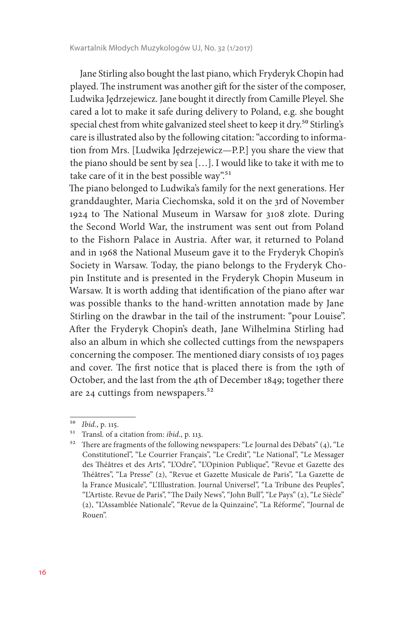Jane Stirling also bought the last piano, which Fryderyk Chopin had played. The instrument was another gift for the sister of the composer, Ludwika Jędrzejewicz. Jane bought it directly from Camille Pleyel. She cared a lot to make it safe during delivery to Poland, e.g. she bought special chest from white galvanized steel sheet to keep it dry.<sup>50</sup> Stirling's care is illustrated also by the following citation: "according to information from Mrs. [Ludwika Jędrzejewicz—P.P.] you share the view that the piano should be sent by sea […]. I would like to take it with me to take care of it in the best possible way".<sup>51</sup>

The piano belonged to Ludwika's family for the next generations. Her granddaughter, Maria Ciechomska, sold it on the 3rd of November 1924 to The National Museum in Warsaw for 3108 zlote. During the Second World War, the instrument was sent out from Poland to the Fishorn Palace in Austria. After war, it returned to Poland and in 1968 the National Museum gave it to the Fryderyk Chopin's Society in Warsaw. Today, the piano belongs to the Fryderyk Chopin Institute and is presented in the Fryderyk Chopin Museum in Warsaw. It is worth adding that identification of the piano after war was possible thanks to the hand-written annotation made by Jane Stirling on the drawbar in the tail of the instrument: "pour Louise". After the Fryderyk Chopin's death, Jane Wilhelmina Stirling had also an album in which she collected cuttings from the newspapers concerning the composer. The mentioned diary consists of 103 pages and cover. The first notice that is placed there is from the 19th of October, and the last from the 4th of December 1849; together there are 24 cuttings from newspapers.<sup>52</sup>

<sup>50</sup> *Ibid*., p. 115.

<sup>51</sup> Transl. of a citation from: *ibid*., p. 113.

 $52$  There are fragments of the following newspapers: "Le Journal des Débats" (4), "Le Constitutionel", "Le Courrier Français", "Le Credit", "Le National", "Le Messager des Théâtres et des Arts", "L'Odre", "L'Opinion Publique", "Revue et Gazette des Théâtres", "La Presse" (2), "Revue et Gazette Musicale de Paris", "La Gazette de la France Musicale", "L'Illustration. Journal Universel", "La Tribune des Peuples", "L'Artiste. Revue de Paris", "The Daily News", "John Bull", "Le Pays" (2), "Le Siècle" (2), "L'Assamblée Nationale", "Revue de la Quinzaine", "La Réforme", "Journal de Rouen".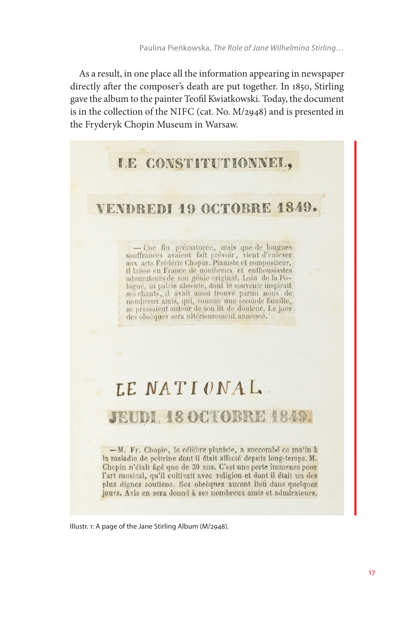As a result, in one place all the information appearing in newspaper directly after the composer's death are put together. In 1850, Stirling gave the album to the painter Teofil Kwiatkowski. Today, the document is in the collection of the NIFC (cat. No. M/2948) and is presented in the Fryderyk Chopin Museum in Warsaw.

### LE CONSTITUTIONNEL,

# VENDREDI 19 OCTOBRE 1849.

- Une fin prématurée, mais que de longues souffrances avaient fait prévoir, vient d'enlever. aux arts Frédéric Chopin. Pianiste et compositeur, il laisse en France de nombreux et enthousiastes admirateurs de son génie original. Loin de la Pologne, sa patrie absente, dont le souvenir inspirait ses chants, il avait aussi trouvé parmi nous de nombreux amis, qui, comme une seconde famille, se pressaient autour de son lit de douleur. Le jour des obsèques sera ultérieurement annoncé.

# LE NATIONAL.

### **JEUDI. 18 OCTOBRE 1849.**

-M. Fr. Chopin, le célèbre pianiste, a succombé ce matin à la maladie de poitrine dont il était affecté depuis long-temps. M. Chopin n'était âgé que de 39 ans. C'est une perte immense pour l'art musical, qu'il cultivait avec religion et dont il était un des plus dignes soutiens. Ses obsèques auront lieu dans quelques jours. Avis en sera donné à ses nombreux amis et admirateurs.

Illustr. 1: A page of the Jane Stirling Album (M/2948).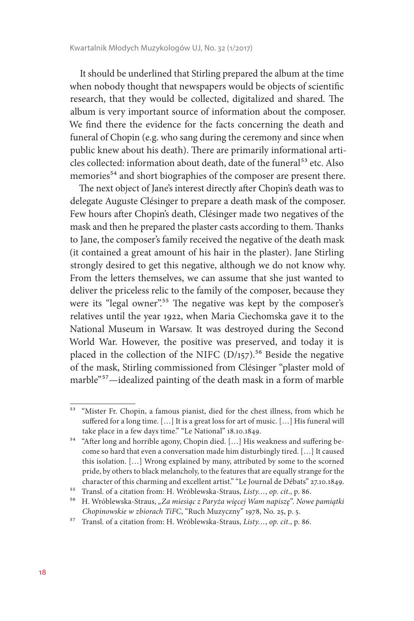It should be underlined that Stirling prepared the album at the time when nobody thought that newspapers would be objects of scientific research, that they would be collected, digitalized and shared. The album is very important source of information about the composer. We find there the evidence for the facts concerning the death and funeral of Chopin (e.g. who sang during the ceremony and since when public knew about his death). There are primarily informational articles collected: information about death, date of the funeral<sup>53</sup> etc. Also memories<sup>54</sup> and short biographies of the composer are present there.

The next object of Jane's interest directly after Chopin's death was to delegate Auguste Clésinger to prepare a death mask of the composer. Few hours after Chopin's death, Clésinger made two negatives of the mask and then he prepared the plaster casts according to them. Thanks to Jane, the composer's family received the negative of the death mask (it contained a great amount of his hair in the plaster). Jane Stirling strongly desired to get this negative, although we do not know why. From the letters themselves, we can assume that she just wanted to deliver the priceless relic to the family of the composer, because they were its "legal owner".<sup>55</sup> The negative was kept by the composer's relatives until the year 1922, when Maria Ciechomska gave it to the National Museum in Warsaw. It was destroyed during the Second World War. However, the positive was preserved, and today it is placed in the collection of the NIFC  $(D/157)$ .<sup>56</sup> Beside the negative of the mask, Stirling commissioned from Clésinger "plaster mold of marble"57—idealized painting of the death mask in a form of marble

<sup>53</sup> "Mister Fr. Chopin, a famous pianist, died for the chest illness, from which he suffered for a long time. […] It is a great loss for art of music. […] His funeral will take place in a few days time." "Le National" 18.10.1849.

<sup>54</sup> "After long and horrible agony, Chopin died. […] His weakness and suffering become so hard that even a conversation made him disturbingly tired. […] It caused this isolation. […] Wrong explained by many, attributed by some to the scorned pride, by others to black melancholy, to the features that are equally strange for the character of this charming and excellent artist." "Le Journal de Débats" 27.10.1849.

<sup>55</sup> Transl. of a citation from: H. Wróblewska-Straus, *Listy…*, *op. cit*., p. 86.

<sup>56</sup> H. Wróblewska-Straus, *"Za miesiąc z Paryża więcej Wam napiszę". Nowe pamiątki Chopinowskie w zbiorach TiFC*, "Ruch Muzyczny" 1978, No. 25, p. 5.

<sup>57</sup> Transl. of a citation from: H. Wróblewska-Straus, *Listy…*, *op. cit*., p. 86.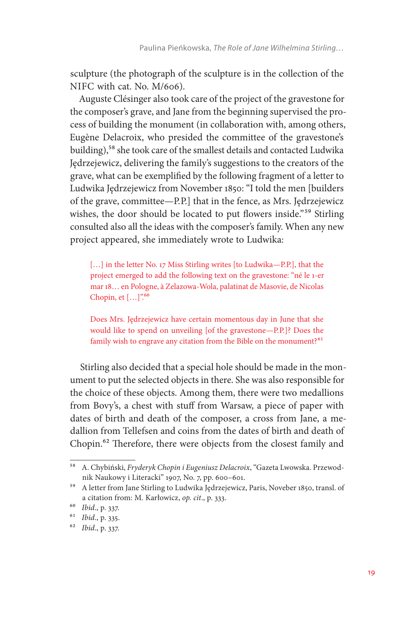sculpture (the photograph of the sculpture is in the collection of the NIFC with cat. No. M/606).

Auguste Clésinger also took care of the project of the gravestone for the composer's grave, and Jane from the beginning supervised the process of building the monument (in collaboration with, among others, Eugène Delacroix, who presided the committee of the gravestone's building),58 she took care of the smallest details and contacted Ludwika Jędrzejewicz, delivering the family's suggestions to the creators of the grave, what can be exemplified by the following fragment of a letter to Ludwika Jędrzejewicz from November 1850: "I told the men [builders of the grave, committee—P.P.] that in the fence, as Mrs. Jędrzejewicz wishes, the door should be located to put flowers inside.<sup>"59</sup> Stirling consulted also all the ideas with the composer's family. When any new project appeared, she immediately wrote to Ludwika:

[...] in the letter No. 17 Miss Stirling writes [to Ludwika-P.P.], that the project emerged to add the following text on the gravestone: "né le 1-er mar 18… en Pologne, à Zelazowa-Wola, palatinat de Masovie, de Nicolas Chopin, et  $[...]$ .<sup>60</sup>

Does Mrs. Jędrzejewicz have certain momentous day in June that she would like to spend on unveiling [of the gravestone—P.P.]? Does the family wish to engrave any citation from the Bible on the monument?<sup>61</sup>

Stirling also decided that a special hole should be made in the monument to put the selected objects in there. She was also responsible for the choice of these objects. Among them, there were two medallions from Bovy's, a chest with stuff from Warsaw, a piece of paper with dates of birth and death of the composer, a cross from Jane, a medallion from Tellefsen and coins from the dates of birth and death of Chopin.62 Therefore, there were objects from the closest family and

<sup>58</sup> A. Chybiński, *Fryderyk Chopin i Eugeniusz Delacroix*, "Gazeta Lwowska. Przewodnik Naukowy i Literacki" 1907, No. 7, pp. 600–601.

<sup>59</sup> A letter from Jane Stirling to Ludwika Jędrzejewicz, Paris, Noveber 1850, transl. of a citation from: M. Karłowicz, *op. cit*., p. 333.

<sup>60</sup> *Ibid*., p. 337.

<sup>61</sup> *Ibid*., p. 335.

<sup>62</sup> *Ibid*., p. 337.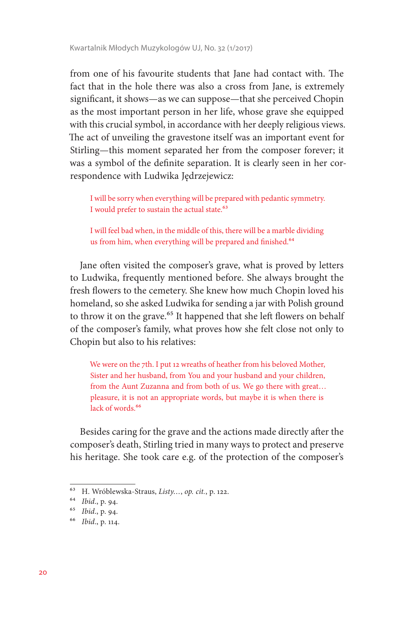from one of his favourite students that Jane had contact with. The fact that in the hole there was also a cross from Jane, is extremely significant, it shows—as we can suppose—that she perceived Chopin as the most important person in her life, whose grave she equipped with this crucial symbol, in accordance with her deeply religious views. The act of unveiling the gravestone itself was an important event for Stirling—this moment separated her from the composer forever; it was a symbol of the definite separation. It is clearly seen in her correspondence with Ludwika Jędrzejewicz:

I will be sorry when everything will be prepared with pedantic symmetry. I would prefer to sustain the actual state.<sup>63</sup>

I will feel bad when, in the middle of this, there will be a marble dividing us from him, when everything will be prepared and finished.<sup>64</sup>

Jane often visited the composer's grave, what is proved by letters to Ludwika, frequently mentioned before. She always brought the fresh flowers to the cemetery. She knew how much Chopin loved his homeland, so she asked Ludwika for sending a jar with Polish ground to throw it on the grave.<sup>65</sup> It happened that she left flowers on behalf of the composer's family, what proves how she felt close not only to Chopin but also to his relatives:

We were on the 7th. I put 12 wreaths of heather from his beloved Mother, Sister and her husband, from You and your husband and your children, from the Aunt Zuzanna and from both of us. We go there with great… pleasure, it is not an appropriate words, but maybe it is when there is lack of words.<sup>66</sup>

Besides caring for the grave and the actions made directly after the composer's death, Stirling tried in many ways to protect and preserve his heritage. She took care e.g. of the protection of the composer's

<sup>63</sup> H. Wróblewska-Straus, *Listy…*, *op. cit.*, p. 122.

<sup>64</sup> *Ibid*., p. 94.

<sup>65</sup> *Ibid*., p. 94.

<sup>66</sup> *Ibid*., p. 114.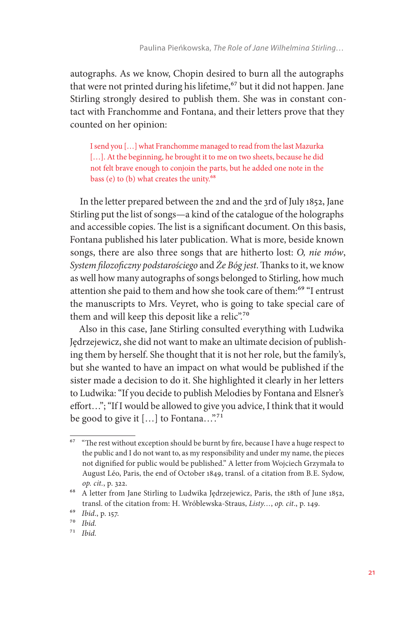autographs. As we know, Chopin desired to burn all the autographs that were not printed during his lifetime,<sup>67</sup> but it did not happen. Jane Stirling strongly desired to publish them. She was in constant contact with Franchomme and Fontana, and their letters prove that they counted on her opinion:

I send you […] what Franchomme managed to read from the last Mazurka [...]. At the beginning, he brought it to me on two sheets, because he did not felt brave enough to conjoin the parts, but he added one note in the bass (e) to (b) what creates the unity. $68$ 

In the letter prepared between the 2nd and the 3rd of July 1852, Jane Stirling put the list of songs—a kind of the catalogue of the holographs and accessible copies. The list is a significant document. On this basis, Fontana published his later publication. What is more, beside known songs, there are also three songs that are hitherto lost: *O, nie mów*, *System filozoficzny podstarościego* and *Że Bóg jest*. Thanks to it, we know as well how many autographs of songs belonged to Stirling, how much attention she paid to them and how she took care of them:<sup>69</sup> "I entrust the manuscripts to Mrs. Veyret, who is going to take special care of them and will keep this deposit like a relic".<sup>70</sup>

Also in this case, Jane Stirling consulted everything with Ludwika Jędrzejewicz, she did not want to make an ultimate decision of publishing them by herself. She thought that it is not her role, but the family's, but she wanted to have an impact on what would be published if the sister made a decision to do it. She highlighted it clearly in her letters to Ludwika: "If you decide to publish Melodies by Fontana and Elsner's effort…"; "If I would be allowed to give you advice, I think that it would be good to give it  $[...]$  to Fontana..."<sup>71</sup>

<sup>&</sup>lt;sup>67</sup> "The rest without exception should be burnt by fire, because I have a huge respect to the public and I do not want to, as my responsibility and under my name, the pieces not dignified for public would be published." A letter from Wojciech Grzymała to August Léo, Paris, the end of October 1849, transl. of a citation from B.E. Sydow, *op. cit.*, p. 322.

<sup>68</sup> A letter from Jane Stirling to Ludwika Jędrzejewicz, Paris, the 18th of June 1852, transl. of the citation from: H. Wróblewska-Straus, *Listy…*, *op. cit*., p. 149.

<sup>69</sup> *Ibid*., p. 157.

<sup>70</sup> *Ibid.*

<sup>71</sup> *Ibid.*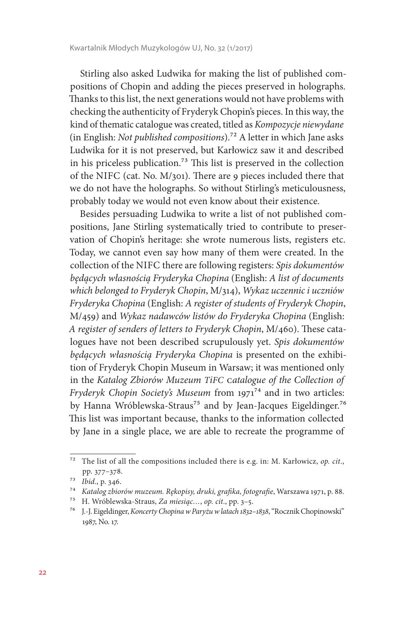Stirling also asked Ludwika for making the list of published compositions of Chopin and adding the pieces preserved in holographs. Thanks to this list, the next generations would not have problems with checking the authenticity of Fryderyk Chopin's pieces. In this way, the kind of thematic catalogue was created, titled as *Kompozycje niewydane*  (in English: *Not published compositions*).72 A letter in which Jane asks Ludwika for it is not preserved, but Karłowicz saw it and described in his priceless publication.73 This list is preserved in the collection of the NIFC (cat. No. M/301). There are 9 pieces included there that we do not have the holographs. So without Stirling's meticulousness, probably today we would not even know about their existence.

Besides persuading Ludwika to write a list of not published compositions, Jane Stirling systematically tried to contribute to preservation of Chopin's heritage: she wrote numerous lists, registers etc. Today, we cannot even say how many of them were created. In the collection of the NIFC there are following registers: *Spis dokumentów będących własnością Fryderyka Chopina* (English: *A list of documents which belonged to Fryderyk Chopin*, M/314), *Wykaz uczennic i uczniów Fryderyka Chopina* (English: *A register of students of Fryderyk Chopin*, M/459) and *Wykaz nadawców listów do Fryderyka Chopina* (English: *A register of senders of letters to Fryderyk Chopin*, M/460). These catalogues have not been described scrupulously yet. *Spis dokumentów będących własnością Fryderyka Chopina* is presented on the exhibition of Fryderyk Chopin Museum in Warsaw; it was mentioned only in the *Katalog Zbiorów Muzeum TiFC* c*atalogue of the Collection of Fryderyk Chopin Society's Museum from 1971*<sup>74</sup> and in two articles: by Hanna Wróblewska-Straus<sup>75</sup> and by Jean-Jacques Eigeldinger.<sup>76</sup> This list was important because, thanks to the information collected by Jane in a single place, we are able to recreate the programme of

<sup>72</sup> The list of all the compositions included there is e.g. in: M. Karłowicz, *op. cit*., pp. 377–378.

<sup>73</sup> *Ibid*., p. 346.

<sup>74</sup> *Katalog zbiorów muzeum. Rękopisy, druki, grafika, fotografie*, Warszawa 1971, p. 88.

<sup>75</sup> H. Wróblewska-Straus, *Za miesiąc…*, *op. cit*., pp. 3–5.

<sup>76</sup> J.-J. Eigeldinger, *Koncerty Chopina w Paryżu w latach 1832–1838*, "Rocznik Chopinowski" 1987, No. 17.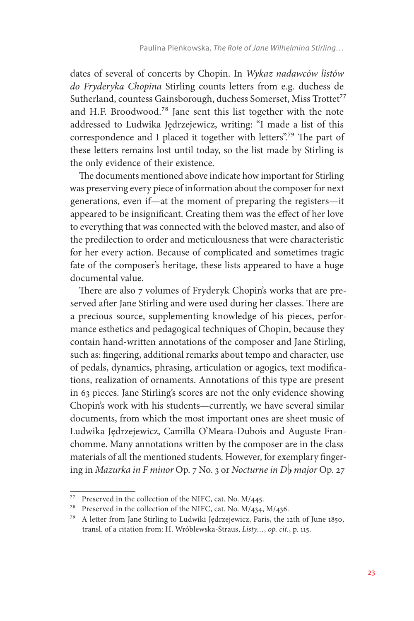dates of several of concerts by Chopin. In *Wykaz nadawców listów do Fryderyka Chopina* Stirling counts letters from e.g. duchess de Sutherland, countess Gainsborough, duchess Somerset, Miss Trottet<sup>77</sup> and H.F. Broodwood.78 Jane sent this list together with the note addressed to Ludwika Jędrzejewicz, writing: "I made a list of this correspondence and I placed it together with letters".79 The part of these letters remains lost until today, so the list made by Stirling is the only evidence of their existence.

The documents mentioned above indicate how important for Stirling was preserving every piece of information about the composer for next generations, even if—at the moment of preparing the registers—it appeared to be insignificant. Creating them was the effect of her love to everything that was connected with the beloved master, and also of the predilection to order and meticulousness that were characteristic for her every action. Because of complicated and sometimes tragic fate of the composer's heritage, these lists appeared to have a huge documental value.

There are also 7 volumes of Fryderyk Chopin's works that are preserved after Jane Stirling and were used during her classes. There are a precious source, supplementing knowledge of his pieces, performance esthetics and pedagogical techniques of Chopin, because they contain hand-written annotations of the composer and Jane Stirling, such as: fingering, additional remarks about tempo and character, use of pedals, dynamics, phrasing, articulation or agogics, text modifications, realization of ornaments. Annotations of this type are present in 63 pieces. Jane Stirling's scores are not the only evidence showing Chopin's work with his students—currently, we have several similar documents, from which the most important ones are sheet music of Ludwika Jędrzejewicz, Camilla O'Meara-Dubois and Auguste Franchomme. Many annotations written by the composer are in the class materials of all the mentioned students. However, for exemplary fingering in *Mazurka in F minor* Op. 7 No. 3 or *Nocturne in D major* Op. 27

<sup>77</sup> Preserved in the collection of the NIFC, cat. No. M/445.

<sup>78</sup> Preserved in the collection of the NIFC, cat. No. M/434, M/436.

<sup>79</sup> A letter from Jane Stirling to Ludwiki Jędrzejewicz, Paris, the 12th of June 1850, transl. of a citation from: H. Wróblewska-Straus, *Listy…*, *op. cit.*, p. 115.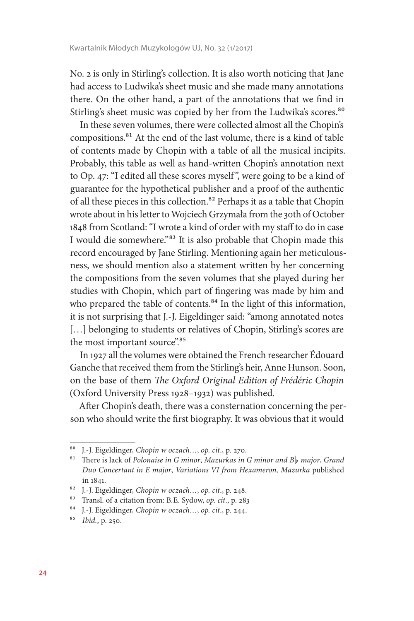No. 2 is only in Stirling's collection. It is also worth noticing that Jane had access to Ludwika's sheet music and she made many annotations there. On the other hand, a part of the annotations that we find in Stirling's sheet music was copied by her from the Ludwika's scores.<sup>80</sup>

In these seven volumes, there were collected almost all the Chopin's compositions.81 At the end of the last volume, there is a kind of table of contents made by Chopin with a table of all the musical incipits. Probably, this table as well as hand-written Chopin's annotation next to Op. 47: "I edited all these scores myself ", were going to be a kind of guarantee for the hypothetical publisher and a proof of the authentic of all these pieces in this collection.<sup>82</sup> Perhaps it as a table that Chopin wrote about in his letter to Wojciech Grzymała from the 30th of October 1848 from Scotland: "I wrote a kind of order with my staff to do in case I would die somewhere."83 It is also probable that Chopin made this record encouraged by Jane Stirling. Mentioning again her meticulousness, we should mention also a statement written by her concerning the compositions from the seven volumes that she played during her studies with Chopin, which part of fingering was made by him and who prepared the table of contents.<sup>84</sup> In the light of this information, it is not surprising that J.-J. Eigeldinger said: "among annotated notes [...] belonging to students or relatives of Chopin, Stirling's scores are the most important source".85

In 1927 all the volumes were obtained the French researcher Édouard Ganche that received them from the Stirling's heir, Anne Hunson. Soon, on the base of them *The Oxford Original Edition of Frédéric Chopin*  (Oxford University Press 1928–1932) was published.

After Chopin's death, there was a consternation concerning the person who should write the first biography. It was obvious that it would

<sup>80</sup> J.-J. Eigeldinger, *Chopin w oczach…*, *op. cit*., p. 270.

<sup>81</sup> There is lack of *Polonaise in G minor*, *Mazurkas in G minor and B major*, *Grand Duo Concertant in E major*, *Variations VI from Hexameron, Mazurka* published in 1841.

<sup>82</sup> J.-J. Eigeldinger, *Chopin w oczach…*, *op. cit*., p. 248.

<sup>83</sup> Transl. of a citation from: B.E. Sydow, *op. cit*., p. 283

<sup>84</sup> J.-J. Eigeldinger, *Chopin w oczach…*, *op. cit*., p. 244.

<sup>85</sup> *Ibid.*, p. 250.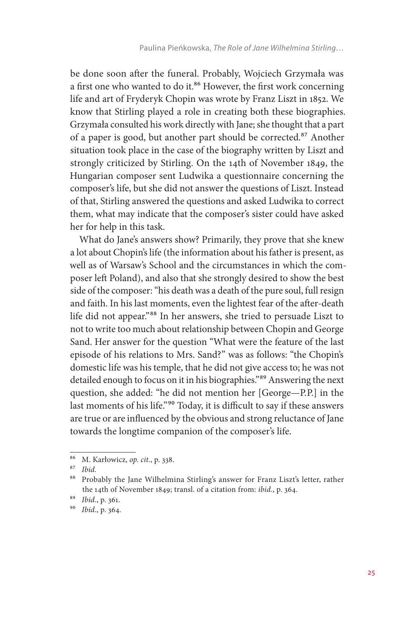be done soon after the funeral. Probably, Wojciech Grzymała was a first one who wanted to do it.<sup>86</sup> However, the first work concerning life and art of Fryderyk Chopin was wrote by Franz Liszt in 1852. We know that Stirling played a role in creating both these biographies. Grzymała consulted his work directly with Jane; she thought that a part of a paper is good, but another part should be corrected.87 Another situation took place in the case of the biography written by Liszt and strongly criticized by Stirling. On the 14th of November 1849, the Hungarian composer sent Ludwika a questionnaire concerning the composer's life, but she did not answer the questions of Liszt. Instead of that, Stirling answered the questions and asked Ludwika to correct them, what may indicate that the composer's sister could have asked her for help in this task.

What do Jane's answers show? Primarily, they prove that she knew a lot about Chopin's life (the information about his father is present, as well as of Warsaw's School and the circumstances in which the composer left Poland), and also that she strongly desired to show the best side of the composer: "his death was a death of the pure soul, full resign and faith. In his last moments, even the lightest fear of the after-death life did not appear."88 In her answers, she tried to persuade Liszt to not to write too much about relationship between Chopin and George Sand. Her answer for the question "What were the feature of the last episode of his relations to Mrs. Sand?" was as follows: "the Chopin's domestic life was his temple, that he did not give access to; he was not detailed enough to focus on it in his biographies."89 Answering the next question, she added: "he did not mention her [George—P.P.] in the last moments of his life."<sup>90</sup> Today, it is difficult to say if these answers are true or are influenced by the obvious and strong reluctance of Jane towards the longtime companion of the composer's life.

<sup>86</sup> M. Karłowicz, *op. cit*., p. 338.

<sup>87</sup> *Ibid.*

<sup>88</sup> Probably the Jane Wilhelmina Stirling's answer for Franz Liszt's letter, rather the 14th of November 1849; transl. of a citation from: *ibid*., p. 364.

<sup>89</sup> *Ibid*., p. 361.

<sup>90</sup> *Ibid*., p. 364.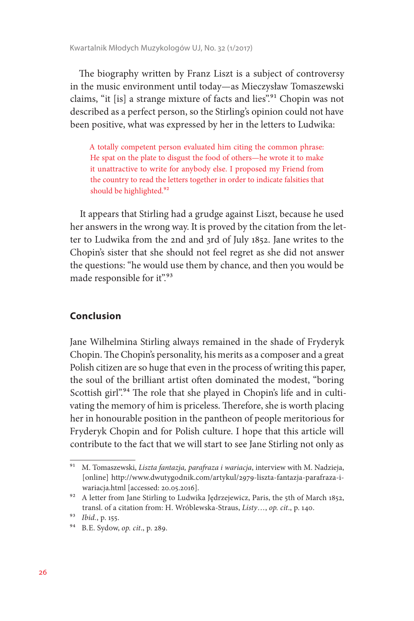The biography written by Franz Liszt is a subject of controversy in the music environment until today—as Mieczysław Tomaszewski claims, "it [is] a strange mixture of facts and lies".<sup>91</sup> Chopin was not described as a perfect person, so the Stirling's opinion could not have been positive, what was expressed by her in the letters to Ludwika:

A totally competent person evaluated him citing the common phrase: He spat on the plate to disgust the food of others—he wrote it to make it unattractive to write for anybody else. I proposed my Friend from the country to read the letters together in order to indicate falsities that should be highlighted.<sup>92</sup>

It appears that Stirling had a grudge against Liszt, because he used her answers in the wrong way. It is proved by the citation from the letter to Ludwika from the 2nd and 3rd of July 1852. Jane writes to the Chopin's sister that she should not feel regret as she did not answer the questions: "he would use them by chance, and then you would be made responsible for it".93

### **Conclusion**

Jane Wilhelmina Stirling always remained in the shade of Fryderyk Chopin. The Chopin's personality, his merits as a composer and a great Polish citizen are so huge that even in the process of writing this paper, the soul of the brilliant artist often dominated the modest, "boring Scottish girl".<sup>94</sup> The role that she played in Chopin's life and in cultivating the memory of him is priceless. Therefore, she is worth placing her in honourable position in the pantheon of people meritorious for Fryderyk Chopin and for Polish culture. I hope that this article will contribute to the fact that we will start to see Jane Stirling not only as

<sup>91</sup> M. Tomaszewski, *Liszta fantazja, parafraza i wariacja*, interview with M. Nadzieja, [online] http://www.dwutygodnik.com/artykul/2979-liszta-fantazja-parafraza-iwariacja.html [accessed: 20.05.2016].

<sup>&</sup>lt;sup>92</sup> A letter from Jane Stirling to Ludwika Jędrzejewicz, Paris, the 5th of March 1852, transl. of a citation from: H. Wróblewska-Straus, *Listy*…, *op. cit*., p. 140.

<sup>93</sup> *Ibid.*, p. 155.

<sup>94</sup> B.E. Sydow, *op. cit*., p. 289.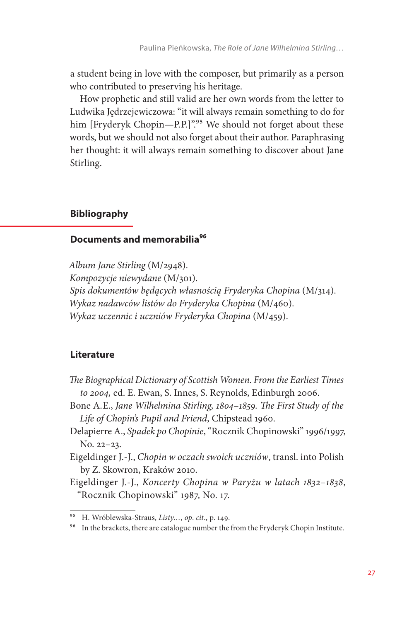a student being in love with the composer, but primarily as a person who contributed to preserving his heritage.

How prophetic and still valid are her own words from the letter to Ludwika Jędrzejewiczowa: "it will always remain something to do for him [Fryderyk Chopin—P.P.]".<sup>95</sup> We should not forget about these words, but we should not also forget about their author. Paraphrasing her thought: it will always remain something to discover about Jane Stirling.

### **Bibliography**

### **Documents and memorabilia96**

*Album Jane Stirling* (M/2948). *Kompozycje niewydane* (M/301). *Spis dokumentów będących własnością Fryderyka Chopina* (M/314). *Wykaz nadawców listów do Fryderyka Chopina* (M/460). *Wykaz uczennic i uczniów Fryderyka Chopina* (M/459).

#### **Literature**

- *The Biographical Dictionary of Scottish Women. From the Earliest Times to 2004,* ed. E. Ewan, S. Innes, S. Reynolds, Edinburgh 2006.
- Bone A.E., *Jane Wilhelmina Stirling, 1804*–*1859. The First Study of the Life of Chopin's Pupil and Friend*, Chipstead 1960.
- Delapierre A., *Spadek po Chopinie*, "Rocznik Chopinowski" 1996/1997, No. 22–23.
- Eigeldinger J.-J., *Chopin w oczach swoich uczniów*, transl. into Polish by Z. Skowron, Kraków 2010.
- Eigeldinger J.-J., *Koncerty Chopina w Paryżu w latach 1832*–*1838*, "Rocznik Chopinowski" 1987, No. 17.

<sup>95</sup> H. Wróblewska-Straus, *Listy…*, *op*. *cit*., p. 149.

<sup>&</sup>lt;sup>96</sup> In the brackets, there are catalogue number the from the Fryderyk Chopin Institute.